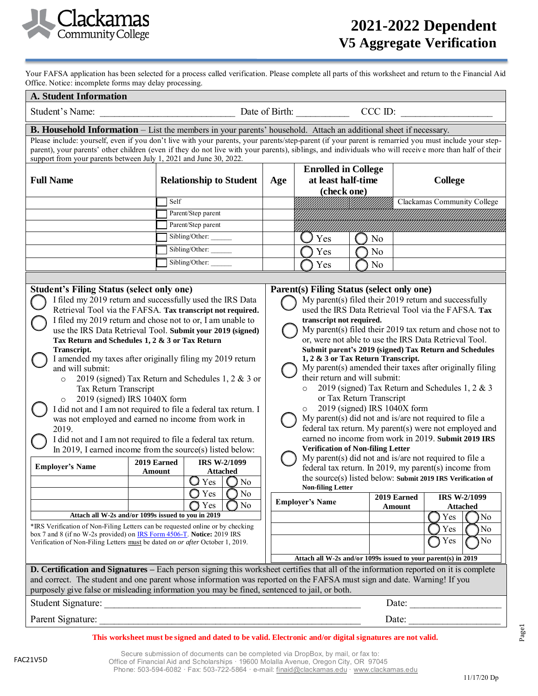

**Worksheet**

Your FAFSA application has been selected for a process called verification. Please complete all parts of this worksheet and return to the Financial Aid Office. Notice: incomplete forms may delay processing.

| <b>A. Student Information</b>                                                                                                                                                                                                                                                                                                                                                                                                                                                                                                                                                                                                                                                                                                                                                                                                                                                                                                                                                                        |                    |                                                                                                          |                                                                                                                                                                                                                                                                                                                                                                                                                                                                                                                                                                                                                                                                                                                                                                                                                                                                                                                                                                                                                                                                           |                                                                 |    |                       |                                     |  |
|------------------------------------------------------------------------------------------------------------------------------------------------------------------------------------------------------------------------------------------------------------------------------------------------------------------------------------------------------------------------------------------------------------------------------------------------------------------------------------------------------------------------------------------------------------------------------------------------------------------------------------------------------------------------------------------------------------------------------------------------------------------------------------------------------------------------------------------------------------------------------------------------------------------------------------------------------------------------------------------------------|--------------------|----------------------------------------------------------------------------------------------------------|---------------------------------------------------------------------------------------------------------------------------------------------------------------------------------------------------------------------------------------------------------------------------------------------------------------------------------------------------------------------------------------------------------------------------------------------------------------------------------------------------------------------------------------------------------------------------------------------------------------------------------------------------------------------------------------------------------------------------------------------------------------------------------------------------------------------------------------------------------------------------------------------------------------------------------------------------------------------------------------------------------------------------------------------------------------------------|-----------------------------------------------------------------|----|-----------------------|-------------------------------------|--|
| Student's Name:                                                                                                                                                                                                                                                                                                                                                                                                                                                                                                                                                                                                                                                                                                                                                                                                                                                                                                                                                                                      | CCC ID:            |                                                                                                          |                                                                                                                                                                                                                                                                                                                                                                                                                                                                                                                                                                                                                                                                                                                                                                                                                                                                                                                                                                                                                                                                           |                                                                 |    |                       |                                     |  |
| B. Household Information - List the members in your parents' household. Attach an additional sheet if necessary.<br>Please include: yourself, even if you don't live with your parents, your parents/step-parent (if your parent is remarried you must include your step-<br>parent), your parents' other children (even if they do not live with your parents), siblings, and individuals who will receive more than half of their<br>support from your parents between July 1, 2021 and June 30, 2022.                                                                                                                                                                                                                                                                                                                                                                                                                                                                                             |                    |                                                                                                          |                                                                                                                                                                                                                                                                                                                                                                                                                                                                                                                                                                                                                                                                                                                                                                                                                                                                                                                                                                                                                                                                           |                                                                 |    |                       |                                     |  |
| <b>Full Name</b>                                                                                                                                                                                                                                                                                                                                                                                                                                                                                                                                                                                                                                                                                                                                                                                                                                                                                                                                                                                     |                    | <b>Relationship to Student</b>                                                                           |                                                                                                                                                                                                                                                                                                                                                                                                                                                                                                                                                                                                                                                                                                                                                                                                                                                                                                                                                                                                                                                                           | <b>Enrolled in College</b><br>at least half-time<br>(check one) |    |                       | <b>College</b>                      |  |
|                                                                                                                                                                                                                                                                                                                                                                                                                                                                                                                                                                                                                                                                                                                                                                                                                                                                                                                                                                                                      | Self               |                                                                                                          |                                                                                                                                                                                                                                                                                                                                                                                                                                                                                                                                                                                                                                                                                                                                                                                                                                                                                                                                                                                                                                                                           |                                                                 |    |                       | Clackamas Community College         |  |
|                                                                                                                                                                                                                                                                                                                                                                                                                                                                                                                                                                                                                                                                                                                                                                                                                                                                                                                                                                                                      |                    | Parent/Step parent<br>Parent/Step parent                                                                 |                                                                                                                                                                                                                                                                                                                                                                                                                                                                                                                                                                                                                                                                                                                                                                                                                                                                                                                                                                                                                                                                           |                                                                 |    |                       |                                     |  |
|                                                                                                                                                                                                                                                                                                                                                                                                                                                                                                                                                                                                                                                                                                                                                                                                                                                                                                                                                                                                      |                    | Sibling/Other:                                                                                           |                                                                                                                                                                                                                                                                                                                                                                                                                                                                                                                                                                                                                                                                                                                                                                                                                                                                                                                                                                                                                                                                           | Yes                                                             | No |                       |                                     |  |
|                                                                                                                                                                                                                                                                                                                                                                                                                                                                                                                                                                                                                                                                                                                                                                                                                                                                                                                                                                                                      |                    | Sibling/Other:                                                                                           |                                                                                                                                                                                                                                                                                                                                                                                                                                                                                                                                                                                                                                                                                                                                                                                                                                                                                                                                                                                                                                                                           | Yes                                                             | No |                       |                                     |  |
|                                                                                                                                                                                                                                                                                                                                                                                                                                                                                                                                                                                                                                                                                                                                                                                                                                                                                                                                                                                                      |                    | Sibling/Other:                                                                                           |                                                                                                                                                                                                                                                                                                                                                                                                                                                                                                                                                                                                                                                                                                                                                                                                                                                                                                                                                                                                                                                                           | Yes                                                             | No |                       |                                     |  |
|                                                                                                                                                                                                                                                                                                                                                                                                                                                                                                                                                                                                                                                                                                                                                                                                                                                                                                                                                                                                      |                    |                                                                                                          |                                                                                                                                                                                                                                                                                                                                                                                                                                                                                                                                                                                                                                                                                                                                                                                                                                                                                                                                                                                                                                                                           |                                                                 |    |                       |                                     |  |
| <b>Student's Filing Status (select only one)</b><br>I filed my 2019 return and successfully used the IRS Data<br>Retrieval Tool via the FAFSA. Tax transcript not required.<br>I filed my 2019 return and chose not to or, I am unable to<br>use the IRS Data Retrieval Tool. Submit your 2019 (signed)<br>Tax Return and Schedules 1, 2 & 3 or Tax Return<br>Transcript.<br>I amended my taxes after originally filing my 2019 return<br>and will submit:<br>2019 (signed) Tax Return and Schedules 1, 2 & 3 or<br>$\circ$<br>Tax Return Transcript<br>2019 (signed) IRS 1040X form<br>$\circ$<br>I did not and I am not required to file a federal tax return. I<br>was not employed and earned no income from work in<br>2019.<br>I did not and I am not required to file a federal tax return.<br>In 2019, I earned income from the source(s) listed below:<br><b>IRS W-2/1099</b><br>2019 Earned<br><b>Employer's Name</b><br><b>Attached</b><br>Amount<br>$Q$ Yes $\parallel$<br>$\bigcirc$ No |                    |                                                                                                          | Parent(s) Filing Status (select only one)<br>My parent(s) filed their $2019$ return and successfully<br>used the IRS Data Retrieval Tool via the FAFSA. Tax<br>transcript not required.<br>My parent(s) filed their 2019 tax return and chose not to<br>or, were not able to use the IRS Data Retrieval Tool.<br>Submit parent's 2019 (signed) Tax Return and Schedules<br>1, 2 & 3 or Tax Return Transcript.<br>My parent(s) amended their taxes after originally filing<br>their return and will submit:<br>2019 (signed) Tax Return and Schedules 1, 2 & 3<br>or Tax Return Transcript<br>2019 (signed) IRS 1040X form<br>$\circ$<br>My parent(s) did not and is/are not required to file a<br>federal tax return. My parent(s) were not employed and<br>earned no income from work in 2019. Submit 2019 IRS<br><b>Verification of Non-filing Letter</b><br>My parent(s) did not and is/are not required to file a<br>federal tax return. In 2019, my parent(s) income from<br>the source(s) listed below: Submit 2019 IRS Verification of<br><b>Non-filing Letter</b> |                                                                 |    |                       |                                     |  |
|                                                                                                                                                                                                                                                                                                                                                                                                                                                                                                                                                                                                                                                                                                                                                                                                                                                                                                                                                                                                      |                    | Yes<br>No<br>Yes<br>No                                                                                   |                                                                                                                                                                                                                                                                                                                                                                                                                                                                                                                                                                                                                                                                                                                                                                                                                                                                                                                                                                                                                                                                           | <b>Employer's Name</b>                                          |    | 2019 Earned<br>Amount | IRS W-2/1099<br><b>Attached</b>     |  |
| Attach all W-2s and/or 1099s issued to you in 2019<br>*IRS Verification of Non-Filing Letters can be requested online or by checking<br>box 7 and 8 (if no W-2s provided) on <b>IRS Form 4506-T</b> . Notice: 2019 IRS<br>Verification of Non-Filing Letters must be dated on or after October 1, 2019.                                                                                                                                                                                                                                                                                                                                                                                                                                                                                                                                                                                                                                                                                              |                    |                                                                                                          |                                                                                                                                                                                                                                                                                                                                                                                                                                                                                                                                                                                                                                                                                                                                                                                                                                                                                                                                                                                                                                                                           | Attach all W-2s and/or 1099s issued to your parent(s) in 2019   |    |                       | Yes<br>No<br>Yes<br>No<br>Yes<br>No |  |
|                                                                                                                                                                                                                                                                                                                                                                                                                                                                                                                                                                                                                                                                                                                                                                                                                                                                                                                                                                                                      |                    |                                                                                                          |                                                                                                                                                                                                                                                                                                                                                                                                                                                                                                                                                                                                                                                                                                                                                                                                                                                                                                                                                                                                                                                                           |                                                                 |    |                       |                                     |  |
| <b>D. Certification and Signatures</b> – Each person signing this worksheet certifies that all of the information reported on it is complete<br>and correct. The student and one parent whose information was reported on the FAFSA must sign and date. Warning! If you<br>purposely give false or misleading information you may be fined, sentenced to jail, or both.                                                                                                                                                                                                                                                                                                                                                                                                                                                                                                                                                                                                                              |                    |                                                                                                          |                                                                                                                                                                                                                                                                                                                                                                                                                                                                                                                                                                                                                                                                                                                                                                                                                                                                                                                                                                                                                                                                           |                                                                 |    |                       |                                     |  |
|                                                                                                                                                                                                                                                                                                                                                                                                                                                                                                                                                                                                                                                                                                                                                                                                                                                                                                                                                                                                      | Student Signature: |                                                                                                          |                                                                                                                                                                                                                                                                                                                                                                                                                                                                                                                                                                                                                                                                                                                                                                                                                                                                                                                                                                                                                                                                           | Date:                                                           |    |                       |                                     |  |
|                                                                                                                                                                                                                                                                                                                                                                                                                                                                                                                                                                                                                                                                                                                                                                                                                                                                                                                                                                                                      | Date:              |                                                                                                          |                                                                                                                                                                                                                                                                                                                                                                                                                                                                                                                                                                                                                                                                                                                                                                                                                                                                                                                                                                                                                                                                           |                                                                 |    |                       |                                     |  |
|                                                                                                                                                                                                                                                                                                                                                                                                                                                                                                                                                                                                                                                                                                                                                                                                                                                                                                                                                                                                      |                    | This worksheet must be signed and dated to be valid. Electronic and/or digital signatures are not valid. |                                                                                                                                                                                                                                                                                                                                                                                                                                                                                                                                                                                                                                                                                                                                                                                                                                                                                                                                                                                                                                                                           |                                                                 |    |                       |                                     |  |

11/17/20 Dp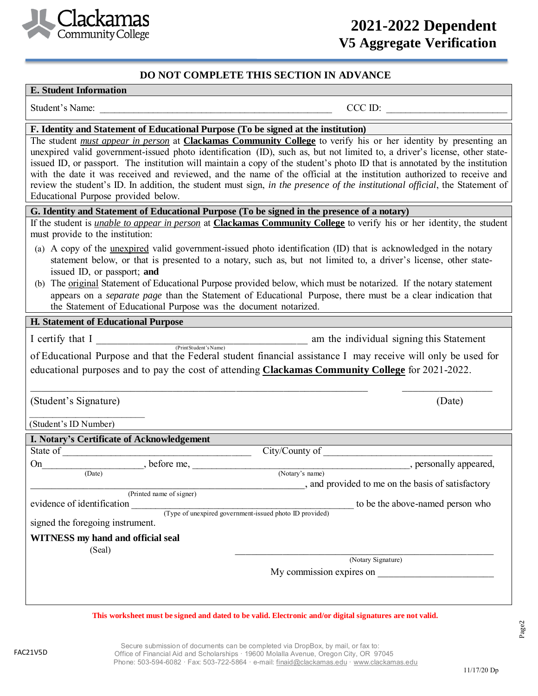

## **2021-2022 Dependent V5 Aggregate Verification**

**Worksheet**

### **DO NOT COMPLETE THIS SECTION IN ADVANCE**

#### **E. Student Information**

Student's Name: \_\_\_\_\_\_\_\_\_\_\_\_\_\_\_\_\_\_\_\_\_\_\_\_\_\_\_\_\_\_\_\_\_\_\_\_\_\_\_\_\_\_\_\_\_\_\_\_ CCC ID: \_\_\_\_\_\_\_\_\_\_\_\_\_\_\_\_\_\_\_\_\_\_\_\_\_

## **F. Identity and Statement of Educational Purpose (To be signed at the institution)**

The student *must appear in person* at **Clackamas Community College** to verify his or her identity by presenting an unexpired valid government-issued photo identification (ID), such as, but not limited to, a driver's license, other stateissued ID, or passport. The institution will maintain a copy of the student's photo ID that is annotated by the institution with the date it was received and reviewed, and the name of the official at the institution authorized to receive and review the student's ID. In addition, the student must sign, *in the presence of the institutional official*, the Statement of Educational Purpose provided below.

#### **G. Identity and Statement of Educational Purpose (To be signed in the presence of a notary)**

If the student is *unable to appear in person* at **Clackamas Community College** to verify his or her identity, the student must provide to the institution:

- (a) A copy of the unexpired valid government-issued photo identification (ID) that is acknowledged in the notary statement below, or that is presented to a notary, such as, but not limited to, a driver's license, other stateissued ID, or passport; **and**
- (b) The original Statement of Educational Purpose provided below, which must be notarized. If the notary statement appears on a *separate page* than the Statement of Educational Purpose, there must be a clear indication that the Statement of Educational Purpose was the document notarized.

### **H. Statement of Educational Purpose**

I certify that I certify that I am the individual signing this Statement

(Print Student's Name) of Educational Purpose and that the Federal student financial assistance I may receive will only be used for educational purposes and to pay the cost of attending **Clackamas Community College** for 2021-2022.

\_\_\_\_\_\_\_\_\_\_\_\_\_\_\_\_\_\_\_\_\_\_\_\_\_\_\_\_\_\_\_\_\_\_\_\_\_\_\_\_\_\_\_\_\_\_\_\_\_\_\_\_\_\_\_\_\_\_\_\_\_\_\_\_ \_\_\_\_\_\_\_\_\_\_\_\_\_\_\_\_\_

(Student's Signature) (Date)

 $\overline{\phantom{a}}$  , where  $\overline{\phantom{a}}$  , where  $\overline{\phantom{a}}$  , where  $\overline{\phantom{a}}$ 

(Student's ID Number)

| I. Notary's Certificate of Acknowledgement |                                                         |  |  |  |
|--------------------------------------------|---------------------------------------------------------|--|--|--|
| State of                                   | City/County of                                          |  |  |  |
| , before me,<br>On                         | , personally appeared,                                  |  |  |  |
| (Date)                                     | (Notary's name)                                         |  |  |  |
|                                            | , and provided to me on the basis of satisfactory       |  |  |  |
| (Printed name of signer)                   |                                                         |  |  |  |
| evidence of identification                 | to be the above-named person who                        |  |  |  |
|                                            | (Type of unexpired government-issued photo ID provided) |  |  |  |
| signed the foregoing instrument.           |                                                         |  |  |  |
| WITNESS my hand and official seal          |                                                         |  |  |  |
| (Seal)                                     |                                                         |  |  |  |
|                                            | (Notary Signature)                                      |  |  |  |
|                                            | My commission expires on                                |  |  |  |
|                                            |                                                         |  |  |  |
|                                            |                                                         |  |  |  |

#### **This worksheet must be signed and dated to be valid. Electronic and/or digital signatures are not valid.**

FAC21V5D